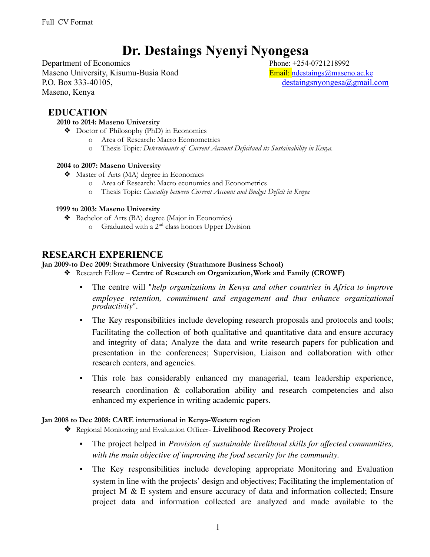# **Dr. Destaings Nyenyi Nyongesa**

Department of Economics Phone: +254-0721218992 Maseno University, Kisumu-Busia Road Email: [ndestaings@maseno.ac.ke](mailto:ndestaings@maseno.ac.ke) P.O. Box 333-40105, [destaingsnyongesa@gmail.com](mailto:destaingsnyongesa@gmail.com) Maseno, Kenya

## **EDUCATION**

#### **2010 to 2014: Maseno University**

- ❖ Doctor of Philosophy (PhD) in Economics
	- o Area of Research: Macro Econometrics
	- o Thesis Topic*: Determinants of Current Account Deficitand its Sustainability in Kenya.*

#### **2004 to 2007: Maseno University**

- ❖ Master of Arts (MA) degree in Economics
	- o Area of Research: Macro economics and Econometrics
	- o Thesis Topic: *Causality between Current Account and Budget Deficit in Kenya*

#### **1999 to 2003: Maseno University**

- ❖ Bachelor of Arts (BA) degree (Major in Economics)
	- o Graduated with a 2<sup>nd</sup> class honors Upper Division

## **RESEARCH EXPERIENCE**

#### **Jan 2009-to Dec 2009: Strathmore University (Strathmore Business School)**

- ❖ Research Fellow **Centre of Research on Organization,Work and Family (CROWF)**
	- The centre will "*help organizations in Kenya and other countries in Africa to improve employee retention, commitment and engagement and thus enhance organizational productivity".*
	- The Key responsibilities include developing research proposals and protocols and tools; Facilitating the collection of both qualitative and quantitative data and ensure accuracy and integrity of data; Analyze the data and write research papers for publication and presentation in the conferences; Supervision, Liaison and collaboration with other research centers, and agencies.
	- This role has considerably enhanced my managerial, team leadership experience, research coordination & collaboration ability and research competencies and also enhanced my experience in writing academic papers.

#### **Jan 2008 to Dec 2008: CARE international in Kenya-Western region**

- ❖ Regional Monitoring and Evaluation Officer- **Livelihood Recovery Project**
	- The project helped in *Provision of sustainable livelihood skills for affected communities, with the main objective of improving the food security for the community.*
	- The Key responsibilities include developing appropriate Monitoring and Evaluation system in line with the projects' design and objectives; Facilitating the implementation of project M & E system and ensure accuracy of data and information collected; Ensure project data and information collected are analyzed and made available to the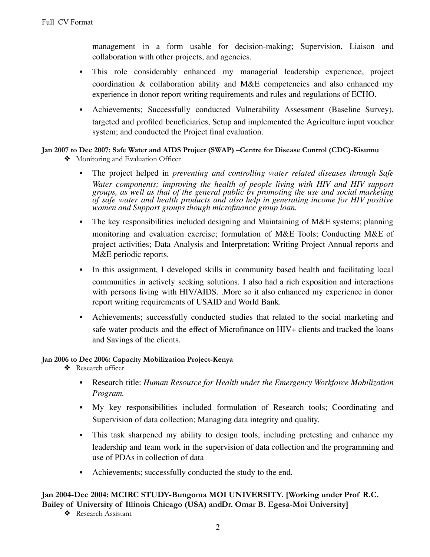management in a form usable for decision-making; Supervision, Liaison and collaboration with other projects, and agencies.

- This role considerably enhanced my managerial leadership experience, project coordination & collaboration ability and M&E competencies and also enhanced my experience in donor report writing requirements and rules and regulations of ECHO.
- Achievements; Successfully conducted Vulnerability Assessment (Baseline Survey), targeted and profiled beneficiaries, Setup and implemented the Agriculture input voucher system; and conducted the Project final evaluation.

#### **Jan 2007 to Dec 2007: Safe Water and AIDS Project (SWAP) –Centre for Disease Control (CDC)-Kisumu**

- ❖ Monitoring and Evaluation Officer
	- The project helped in *preventing and controlling water related diseases through Safe Water components; improving the health of people living with HIV and HIV support groups, as well as that of the general public by promoting the use and social marketing of safe water and health products and also help in generating income for HIV positive women and Support groups though microfinance group loan.*
	- The key responsibilities included designing and Maintaining of  $M\&E$  systems; planning monitoring and evaluation exercise; formulation of M&E Tools; Conducting M&E of project activities; Data Analysis and Interpretation; Writing Project Annual reports and M&E periodic reports.
	- In this assignment, I developed skills in community based health and facilitating local communities in actively seeking solutions. I also had a rich exposition and interactions with persons living with HIV/AIDS. .More so it also enhanced my experience in donor report writing requirements of USAID and World Bank.
	- Achievements; successfully conducted studies that related to the social marketing and safe water products and the effect of Microfinance on HIV+ clients and tracked the loans and Savings of the clients.

#### **Jan 2006 to Dec 2006: Capacity Mobilization Project-Kenya**

- ❖ Research officer
	- Research title: *Human Resource for Health under the Emergency Workforce Mobilization Program.*
	- My key responsibilities included formulation of Research tools; Coordinating and Supervision of data collection; Managing data integrity and quality.
	- This task sharpened my ability to design tools, including pretesting and enhance my leadership and team work in the supervision of data collection and the programming and use of PDAs in collection of data
	- Achievements; successfully conducted the study to the end.

#### **Jan 2004-Dec 2004: MCIRC STUDY-Bungoma MOI UNIVERSITY. [Working under Prof R.C. Bailey of University of Illinois Chicago (USA) andDr. Omar B. Egesa-Moi University]**

❖ Research Assistant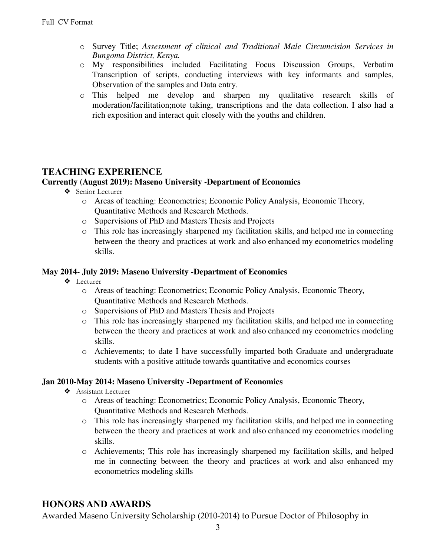- o Survey Title; *Assessment of clinical and Traditional Male Circumcision Services in Bungoma District, Kenya.*
- o My responsibilities included Facilitating Focus Discussion Groups, Verbatim Transcription of scripts, conducting interviews with key informants and samples, Observation of the samples and Data entry.
- o This helped me develop and sharpen my qualitative research skills of moderation/facilitation;note taking, transcriptions and the data collection. I also had a rich exposition and interact quit closely with the youths and children.

# **TEACHING EXPERIENCE**

## **Currently (August 2019): Maseno University -Department of Economics**

- ❖ Senior Lecturer
	- o Areas of teaching: Econometrics; Economic Policy Analysis, Economic Theory, Quantitative Methods and Research Methods.
	- o Supervisions of PhD and Masters Thesis and Projects
	- o This role has increasingly sharpened my facilitation skills, and helped me in connecting between the theory and practices at work and also enhanced my econometrics modeling skills.

#### **May 2014- July 2019: Maseno University -Department of Economics**

- ❖ Lecturer
	- o Areas of teaching: Econometrics; Economic Policy Analysis, Economic Theory, Quantitative Methods and Research Methods.
	- o Supervisions of PhD and Masters Thesis and Projects
	- o This role has increasingly sharpened my facilitation skills, and helped me in connecting between the theory and practices at work and also enhanced my econometrics modeling skills.
	- o Achievements; to date I have successfully imparted both Graduate and undergraduate students with a positive attitude towards quantitative and economics courses

### **Jan 2010-May 2014: Maseno University -Department of Economics**

- ❖ Assistant Lecturer
	- o Areas of teaching: Econometrics; Economic Policy Analysis, Economic Theory, Quantitative Methods and Research Methods.
	- o This role has increasingly sharpened my facilitation skills, and helped me in connecting between the theory and practices at work and also enhanced my econometrics modeling skills.
	- o Achievements; This role has increasingly sharpened my facilitation skills, and helped me in connecting between the theory and practices at work and also enhanced my econometrics modeling skills

# **HONORS AND AWARDS**

Awarded Maseno University Scholarship (2010-2014) to Pursue Doctor of Philosophy in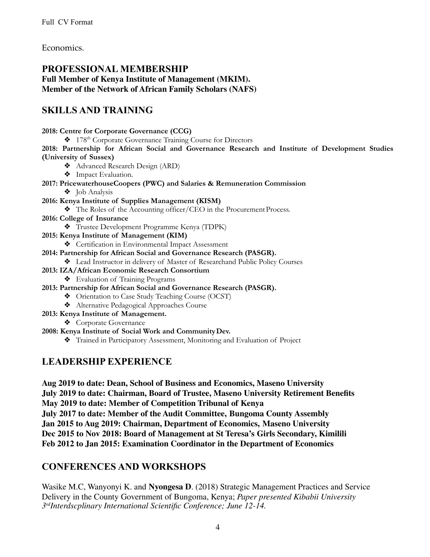Economics.

# **PROFESSIONAL MEMBERSHIP Full Member of Kenya Institute of Management (MKIM). Member of the Network of African Family Scholars (NAFS)**

# **SKILLS AND TRAINING**

**2018: Centre for Corporate Governance (CCG)** ❖ 178 th Corporate Governance Training Course for Directors **2018: Partnership for African Social and Governance Research and Institute of Development Studies (University of Sussex)** ❖ Advanced Research Design (ARD) ❖ Impact Evaluation. **2017: PricewaterhouseCoopers (PWC) and Salaries & Remuneration Commission** ❖ Job Analysis **2016: Kenya Institute of Supplies Management (KISM)**

❖ The Roles of the Accounting officer/CEO in the ProcurementProcess.

- **2016: College of Insurance**
	- ❖ Trustee Development Programme Kenya (TDPK)
- **2015: Kenya Institute of Management (KIM)**
	- ❖ Certification in Environmental Impact Assessment

#### **2014: Partnership for African Social and Governance Research (PASGR).**

- ❖ Lead Instructor in delivery of Master of Researchand Public Policy Courses
- **2013: IZA/African Economic Research Consortium**
	- ❖ Evaluation of Training Programs
- **2013: Partnership for African Social and Governance Research (PASGR).**
	- ❖ Orientation to Case Study Teaching Course (OCST)
	- ❖ Alternative Pedagogical Approaches Course
- **2013: Kenya Institute of Management.**

❖ Corporate Governance

#### **2008: Kenya Institute of Social Work and CommunityDev.**

❖ Trained in Participatory Assessment, Monitoring and Evaluation of Project

# **LEADERSHIP EXPERIENCE**

**Aug 2019 to date: Dean, School of Business and Economics, Maseno University July 2019 to date: Chairman, Board of Trustee, Maseno University Retirement Benefits May 2019 to date: Member of Competition Tribunal of Kenya July 2017 to date: Member of the Audit Committee, Bungoma County Assembly Jan 2015 to Aug 2019: Chairman, Department of Economics, Maseno University Dec 2015 to Nov 2018: Board of Management at St Teresa's Girls Secondary, Kimilili Feb 2012 to Jan 2015: Examination Coordinator in the Department of Economics**

# **CONFERENCES AND WORKSHOPS**

Wasike M.C, Wanyonyi K. and **Nyongesa D**. (2018) Strategic Management Practices and Service Delivery in the County Government of Bungoma, Kenya; *Paper presented Kibabii University 3 rdInterdscplinary International Scientific Conference; June 12-14.*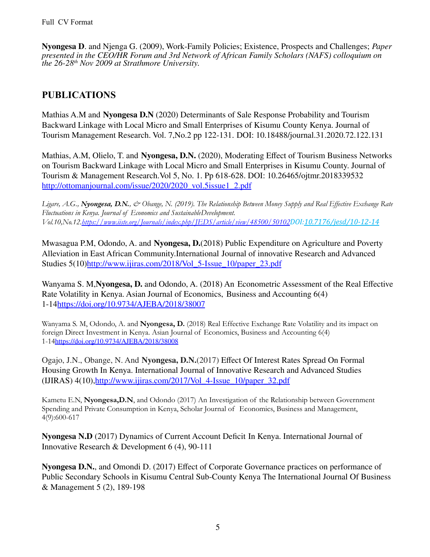**Nyongesa D**. and Njenga G. (2009), Work-Family Policies; Existence, Prospects and Challenges; *Paper presented in the CEO/HR Forum and 3rd Network of African Family Scholars (NAFS) colloquium on the 26-28 th Nov 2009 at Strathmore University.*

# **PUBLICATIONS**

Mathias A.M and **Nyongesa D.N** (2020) Determinants of Sale Response Probability and Tourism Backward Linkage with Local Micro and Small Enterprises of Kisumu County Kenya. Journal of Tourism Management Research. Vol. 7,No.2 pp 122-131. DOI: 10.18488/journal.31.2020.72.122.131

Mathias, A.M, Olielo, T. and **Nyongesa, D.N.** (2020), Moderating Effect of Tourism Business Networks on Tourism Backward Linkage with Local Micro and Small Enterprises in Kisumu County. Journal of Tourism & Management Research.Vol 5, No. 1. Pp 618-628. DOI: 10.26465/ojtmr.2018339532 [http://ottomanjournal.com/issue/2020/2020\\_vol.5issue1\\_2.pdf](http://ottomanjournal.com/issue/2020/2020_vol.5issue1_2.pdf)

Ligare, A.G., Nyongesa, D.N., & Obange, N. (2019). The Relationship Between Money Supply and Real Effective Exchange Rate *Fluctuations in Kenya. Journal of Economics and SustainableDevelopment. Vol.10,No.12[.https://www.iiste.org/Journals/index.php/JEDS/article/view/48500/50102](https://www.iiste.org/Journals/index.php/JEDS/article/view/48500/50102)DOI[:10.7176/jesd/10-12-14](https://doi.org/10.7176/jesd%2F10-12-14)*

Mwasagua P.M, Odondo, A. and **Nyongesa, D.**(2018) Public Expenditure on Agriculture and Poverty Alleviation in East African Community.International Journal of innovative Research and Advanced Studies 5(10)[http://www.ijiras.com/2018/Vol\\_5-Issue\\_10/paper\\_23.pdf](http://www.ijiras.com/2018/Vol_5-Issue_10/paper_23.pdf)

Wanyama S. M,**Nyongesa, D.** and Odondo, A. (2018) An Econometric Assessment of the Real Effective Rate Volatility in Kenya. Asian Journal of Economics, Business and Accounting 6(4) 1-14<https://doi.org/10.9734/AJEBA/2018/38007>

Wanyama S. M, Odondo, A. and **Nyongesa, D.** (2018) Real Effective Exchange Rate Volatility and its impact on foreign Direct Investment in Kenya. Asian Journal of Economics, Business and Accounting 6(4) 1-14<https://doi.org/10.9734/AJEBA/2018/38008>

Ogajo, J.N., Obange, N. And **Nyongesa, D.N.**(2017) Effect Of Interest Rates Spread On Formal Housing Growth In Kenya. International Journal of Innovative Research and Advanced Studies (IJIRAS) 4(10),[http://www.ijiras.com/2017/Vol\\_4-Issue\\_10/paper\\_32.pdf](http://www.ijiras.com/2017/Vol_4-Issue_10/paper_32.pdf)

Kametu E.N, **Nyongesa,D.N**, and Odondo (2017) An Investigation of the Relationship between Government Spending and Private Consumption in Kenya, Scholar Journal of Economics, Business and Management, 4(9):600-617

**Nyongesa N.D** (2017) Dynamics of Current Account Deficit In Kenya. International Journal of Innovative Research & Development 6 (4), 90-111

**Nyongesa D.N.**, and Omondi D. (2017) Effect of Corporate Governance practices on performance of Public Secondary Schools in Kisumu Central Sub-County Kenya The International Journal Of Business & Management 5 (2), 189-198